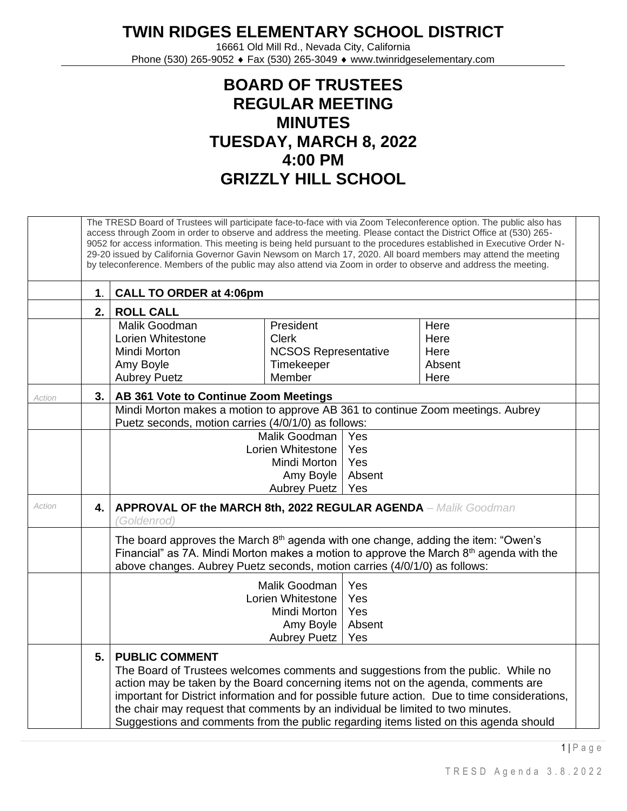**TWIN RIDGES ELEMENTARY SCHOOL DISTRICT**

16661 Old Mill Rd., Nevada City, California Phone (530) 265-9052 ♦ Fax (530) 265-3049 ♦ www.twinridgeselementary.com

## **BOARD OF TRUSTEES REGULAR MEETING MINUTES TUESDAY, MARCH 8, 2022 4:00 PM GRIZZLY HILL SCHOOL**

|        | The TRESD Board of Trustees will participate face-to-face with via Zoom Teleconference option. The public also has<br>access through Zoom in order to observe and address the meeting. Please contact the District Office at (530) 265-<br>9052 for access information. This meeting is being held pursuant to the procedures established in Executive Order N-<br>29-20 issued by California Governor Gavin Newsom on March 17, 2020. All board members may attend the meeting<br>by teleconference. Members of the public may also attend via Zoom in order to observe and address the meeting. |                                                                                                                                                                                                                                                                                                                                                                                                                                                                               |                                                                                                                                        |  |                                |  |  |  |  |  |
|--------|---------------------------------------------------------------------------------------------------------------------------------------------------------------------------------------------------------------------------------------------------------------------------------------------------------------------------------------------------------------------------------------------------------------------------------------------------------------------------------------------------------------------------------------------------------------------------------------------------|-------------------------------------------------------------------------------------------------------------------------------------------------------------------------------------------------------------------------------------------------------------------------------------------------------------------------------------------------------------------------------------------------------------------------------------------------------------------------------|----------------------------------------------------------------------------------------------------------------------------------------|--|--------------------------------|--|--|--|--|--|
|        | 1.                                                                                                                                                                                                                                                                                                                                                                                                                                                                                                                                                                                                | <b>CALL TO ORDER at 4:06pm</b>                                                                                                                                                                                                                                                                                                                                                                                                                                                |                                                                                                                                        |  |                                |  |  |  |  |  |
|        | 2.1                                                                                                                                                                                                                                                                                                                                                                                                                                                                                                                                                                                               | <b>ROLL CALL</b>                                                                                                                                                                                                                                                                                                                                                                                                                                                              |                                                                                                                                        |  |                                |  |  |  |  |  |
|        |                                                                                                                                                                                                                                                                                                                                                                                                                                                                                                                                                                                                   | Malik Goodman<br>Lorien Whitestone<br>Mindi Morton<br>Amy Boyle                                                                                                                                                                                                                                                                                                                                                                                                               | President<br><b>Clerk</b><br><b>NCSOS Representative</b><br>Timekeeper                                                                 |  | Here<br>Here<br>Here<br>Absent |  |  |  |  |  |
|        |                                                                                                                                                                                                                                                                                                                                                                                                                                                                                                                                                                                                   | <b>Aubrey Puetz</b>                                                                                                                                                                                                                                                                                                                                                                                                                                                           | Member                                                                                                                                 |  | Here                           |  |  |  |  |  |
| Action | 3.1                                                                                                                                                                                                                                                                                                                                                                                                                                                                                                                                                                                               | AB 361 Vote to Continue Zoom Meetings                                                                                                                                                                                                                                                                                                                                                                                                                                         |                                                                                                                                        |  |                                |  |  |  |  |  |
|        |                                                                                                                                                                                                                                                                                                                                                                                                                                                                                                                                                                                                   |                                                                                                                                                                                                                                                                                                                                                                                                                                                                               | Mindi Morton makes a motion to approve AB 361 to continue Zoom meetings. Aubrey<br>Puetz seconds, motion carries (4/0/1/0) as follows: |  |                                |  |  |  |  |  |
|        |                                                                                                                                                                                                                                                                                                                                                                                                                                                                                                                                                                                                   | Malik Goodman<br>Yes<br>Lorien Whitestone<br>Yes                                                                                                                                                                                                                                                                                                                                                                                                                              |                                                                                                                                        |  |                                |  |  |  |  |  |
|        |                                                                                                                                                                                                                                                                                                                                                                                                                                                                                                                                                                                                   |                                                                                                                                                                                                                                                                                                                                                                                                                                                                               | Yes<br>Mindi Morton                                                                                                                    |  |                                |  |  |  |  |  |
|        |                                                                                                                                                                                                                                                                                                                                                                                                                                                                                                                                                                                                   | Amy Boyle<br>Absent<br>Aubrey Puetz<br>Yes                                                                                                                                                                                                                                                                                                                                                                                                                                    |                                                                                                                                        |  |                                |  |  |  |  |  |
| Action | 4.                                                                                                                                                                                                                                                                                                                                                                                                                                                                                                                                                                                                | <b>APPROVAL OF the MARCH 8th, 2022 REGULAR AGENDA - Malik Goodman</b><br>(Goldenrod)                                                                                                                                                                                                                                                                                                                                                                                          |                                                                                                                                        |  |                                |  |  |  |  |  |
|        |                                                                                                                                                                                                                                                                                                                                                                                                                                                                                                                                                                                                   | The board approves the March 8 <sup>th</sup> agenda with one change, adding the item: "Owen's<br>Financial" as 7A. Mindi Morton makes a motion to approve the March $8th$ agenda with the<br>above changes. Aubrey Puetz seconds, motion carries (4/0/1/0) as follows:                                                                                                                                                                                                        |                                                                                                                                        |  |                                |  |  |  |  |  |
|        |                                                                                                                                                                                                                                                                                                                                                                                                                                                                                                                                                                                                   | Yes<br>Malik Goodman<br>Yes<br>Lorien Whitestone<br>Yes<br>Mindi Morton<br>Absent<br>Amy Boyle<br>Yes<br><b>Aubrey Puetz</b>                                                                                                                                                                                                                                                                                                                                                  |                                                                                                                                        |  |                                |  |  |  |  |  |
|        | 5.                                                                                                                                                                                                                                                                                                                                                                                                                                                                                                                                                                                                | <b>PUBLIC COMMENT</b><br>The Board of Trustees welcomes comments and suggestions from the public. While no<br>action may be taken by the Board concerning items not on the agenda, comments are<br>important for District information and for possible future action. Due to time considerations,<br>the chair may request that comments by an individual be limited to two minutes.<br>Suggestions and comments from the public regarding items listed on this agenda should |                                                                                                                                        |  |                                |  |  |  |  |  |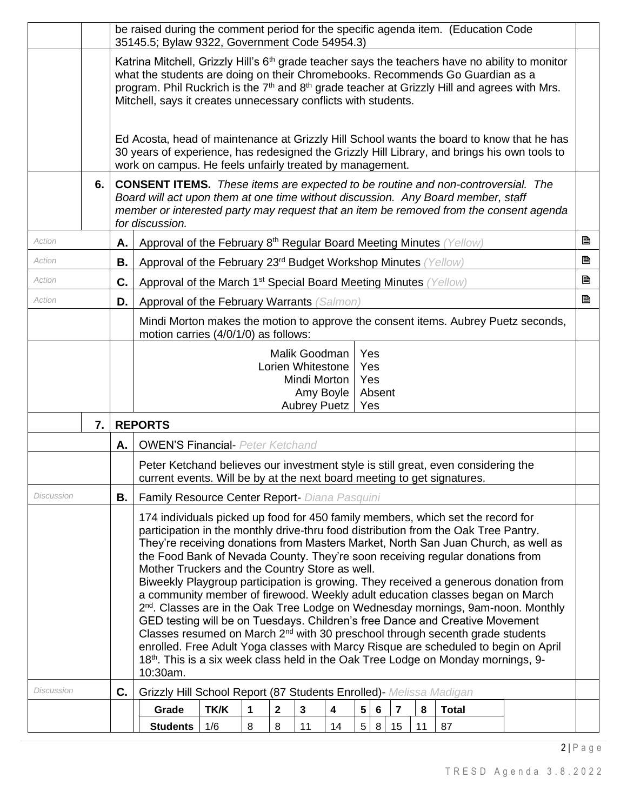|                                                                                                                       |    |    | be raised during the comment period for the specific agenda item. (Education Code<br>35145.5; Bylaw 9322, Government Code 54954.3)                                                                                                                                                                                                                                                                                                                                                                                                                                                                                                                                                                                                                                                                                                                                                                                                                                                                                                                       |      |   |                         |  |   |                 |                 |                |   |              |  |  |   |
|-----------------------------------------------------------------------------------------------------------------------|----|----|----------------------------------------------------------------------------------------------------------------------------------------------------------------------------------------------------------------------------------------------------------------------------------------------------------------------------------------------------------------------------------------------------------------------------------------------------------------------------------------------------------------------------------------------------------------------------------------------------------------------------------------------------------------------------------------------------------------------------------------------------------------------------------------------------------------------------------------------------------------------------------------------------------------------------------------------------------------------------------------------------------------------------------------------------------|------|---|-------------------------|--|---|-----------------|-----------------|----------------|---|--------------|--|--|---|
|                                                                                                                       |    |    | Katrina Mitchell, Grizzly Hill's 6 <sup>th</sup> grade teacher says the teachers have no ability to monitor<br>what the students are doing on their Chromebooks. Recommends Go Guardian as a<br>program. Phil Ruckrich is the 7 <sup>th</sup> and 8 <sup>th</sup> grade teacher at Grizzly Hill and agrees with Mrs.<br>Mitchell, says it creates unnecessary conflicts with students.                                                                                                                                                                                                                                                                                                                                                                                                                                                                                                                                                                                                                                                                   |      |   |                         |  |   |                 |                 |                |   |              |  |  |   |
|                                                                                                                       |    |    | Ed Acosta, head of maintenance at Grizzly Hill School wants the board to know that he has<br>30 years of experience, has redesigned the Grizzly Hill Library, and brings his own tools to<br>work on campus. He feels unfairly treated by management.                                                                                                                                                                                                                                                                                                                                                                                                                                                                                                                                                                                                                                                                                                                                                                                                    |      |   |                         |  |   |                 |                 |                |   |              |  |  |   |
|                                                                                                                       | 6. |    | <b>CONSENT ITEMS.</b> These items are expected to be routine and non-controversial. The<br>Board will act upon them at one time without discussion. Any Board member, staff<br>member or interested party may request that an item be removed from the consent agenda<br>for discussion.                                                                                                                                                                                                                                                                                                                                                                                                                                                                                                                                                                                                                                                                                                                                                                 |      |   |                         |  |   |                 |                 |                |   |              |  |  |   |
| Action                                                                                                                |    | Α. | Approval of the February 8 <sup>th</sup> Regular Board Meeting Minutes (Yellow)                                                                                                                                                                                                                                                                                                                                                                                                                                                                                                                                                                                                                                                                                                                                                                                                                                                                                                                                                                          |      |   |                         |  |   |                 |                 |                |   |              |  |  | B |
| Action                                                                                                                |    | В. | Approval of the February 23rd Budget Workshop Minutes (Yellow)                                                                                                                                                                                                                                                                                                                                                                                                                                                                                                                                                                                                                                                                                                                                                                                                                                                                                                                                                                                           |      |   |                         |  |   |                 |                 |                |   |              |  |  | B |
| Action                                                                                                                |    | C. | Approval of the March 1 <sup>st</sup> Special Board Meeting Minutes (Yellow)                                                                                                                                                                                                                                                                                                                                                                                                                                                                                                                                                                                                                                                                                                                                                                                                                                                                                                                                                                             |      |   |                         |  |   |                 |                 |                |   |              |  |  | B |
| Action                                                                                                                |    | D. | Approval of the February Warrants (Salmon)                                                                                                                                                                                                                                                                                                                                                                                                                                                                                                                                                                                                                                                                                                                                                                                                                                                                                                                                                                                                               |      |   |                         |  |   |                 |                 |                |   |              |  |  | B |
|                                                                                                                       |    |    | Mindi Morton makes the motion to approve the consent items. Aubrey Puetz seconds,<br>motion carries (4/0/1/0) as follows:                                                                                                                                                                                                                                                                                                                                                                                                                                                                                                                                                                                                                                                                                                                                                                                                                                                                                                                                |      |   |                         |  |   |                 |                 |                |   |              |  |  |   |
| Yes<br>Malik Goodman<br>Lorien Whitestone<br>Yes<br>Mindi Morton<br>Yes<br>Amy Boyle<br>Absent<br>Aubrey Puetz<br>Yes |    |    |                                                                                                                                                                                                                                                                                                                                                                                                                                                                                                                                                                                                                                                                                                                                                                                                                                                                                                                                                                                                                                                          |      |   |                         |  |   |                 |                 |                |   |              |  |  |   |
|                                                                                                                       | 7. |    | <b>REPORTS</b>                                                                                                                                                                                                                                                                                                                                                                                                                                                                                                                                                                                                                                                                                                                                                                                                                                                                                                                                                                                                                                           |      |   |                         |  |   |                 |                 |                |   |              |  |  |   |
|                                                                                                                       |    | А. | <b>OWEN'S Financial- Peter Ketchand</b>                                                                                                                                                                                                                                                                                                                                                                                                                                                                                                                                                                                                                                                                                                                                                                                                                                                                                                                                                                                                                  |      |   |                         |  |   |                 |                 |                |   |              |  |  |   |
|                                                                                                                       |    |    | Peter Ketchand believes our investment style is still great, even considering the<br>current events. Will be by at the next board meeting to get signatures.                                                                                                                                                                                                                                                                                                                                                                                                                                                                                                                                                                                                                                                                                                                                                                                                                                                                                             |      |   |                         |  |   |                 |                 |                |   |              |  |  |   |
| Discussion                                                                                                            |    | В. | Family Resource Center Report- Diana Pasquini                                                                                                                                                                                                                                                                                                                                                                                                                                                                                                                                                                                                                                                                                                                                                                                                                                                                                                                                                                                                            |      |   |                         |  |   |                 |                 |                |   |              |  |  |   |
|                                                                                                                       |    |    | 174 individuals picked up food for 450 family members, which set the record for<br>participation in the monthly drive-thru food distribution from the Oak Tree Pantry.<br>They're receiving donations from Masters Market, North San Juan Church, as well as<br>the Food Bank of Nevada County. They're soon receiving regular donations from<br>Mother Truckers and the Country Store as well.<br>Biweekly Playgroup participation is growing. They received a generous donation from<br>a community member of firewood. Weekly adult education classes began on March<br>2 <sup>nd</sup> . Classes are in the Oak Tree Lodge on Wednesday mornings, 9am-noon. Monthly<br>GED testing will be on Tuesdays. Children's free Dance and Creative Movement<br>Classes resumed on March 2 <sup>nd</sup> with 30 preschool through secenth grade students<br>enrolled. Free Adult Yoga classes with Marcy Risque are scheduled to begin on April<br>18 <sup>th</sup> . This is a six week class held in the Oak Tree Lodge on Monday mornings, 9-<br>10:30am. |      |   |                         |  |   |                 |                 |                |   |              |  |  |   |
|                                                                                                                       |    |    |                                                                                                                                                                                                                                                                                                                                                                                                                                                                                                                                                                                                                                                                                                                                                                                                                                                                                                                                                                                                                                                          |      |   |                         |  |   |                 |                 |                |   |              |  |  |   |
| Discussion                                                                                                            |    | C. | Grizzly Hill School Report (87 Students Enrolled)- Melissa Madigan<br>Grade                                                                                                                                                                                                                                                                                                                                                                                                                                                                                                                                                                                                                                                                                                                                                                                                                                                                                                                                                                              | TK/K | 1 | $\overline{\mathbf{2}}$ |  | 4 | $5\phantom{.0}$ | $6\phantom{1}6$ | $\overline{7}$ | 8 | <b>Total</b> |  |  |   |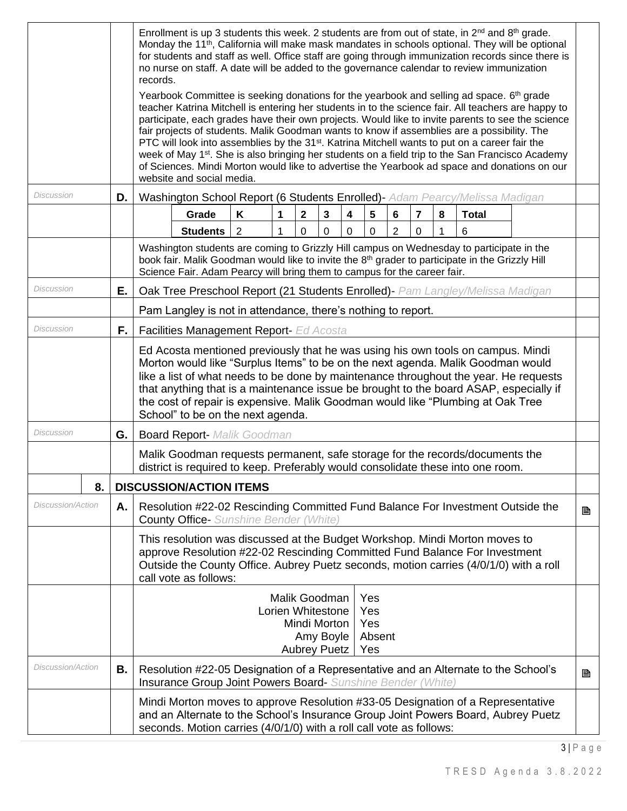|                                      | Enrollment is up 3 students this week. 2 students are from out of state, in 2 <sup>nd</sup> and 8 <sup>th</sup> grade.<br>Monday the 11 <sup>th</sup> , California will make mask mandates in schools optional. They will be optional<br>for students and staff as well. Office staff are going through immunization records since there is<br>no nurse on staff. A date will be added to the governance calendar to review immunization<br>records.                                                                                                                                                                                                                                                                                                             |                                                                                                                                                                                                                                                                                                                                                                                                                                                                             |   |  |  |  |  |  |  |
|--------------------------------------|------------------------------------------------------------------------------------------------------------------------------------------------------------------------------------------------------------------------------------------------------------------------------------------------------------------------------------------------------------------------------------------------------------------------------------------------------------------------------------------------------------------------------------------------------------------------------------------------------------------------------------------------------------------------------------------------------------------------------------------------------------------|-----------------------------------------------------------------------------------------------------------------------------------------------------------------------------------------------------------------------------------------------------------------------------------------------------------------------------------------------------------------------------------------------------------------------------------------------------------------------------|---|--|--|--|--|--|--|
|                                      | Yearbook Committee is seeking donations for the yearbook and selling ad space. $6th$ grade<br>teacher Katrina Mitchell is entering her students in to the science fair. All teachers are happy to<br>participate, each grades have their own projects. Would like to invite parents to see the science<br>fair projects of students. Malik Goodman wants to know if assemblies are a possibility. The<br>PTC will look into assemblies by the 31 <sup>st</sup> . Katrina Mitchell wants to put on a career fair the<br>week of May 1 <sup>st</sup> . She is also bringing her students on a field trip to the San Francisco Academy<br>of Sciences. Mindi Morton would like to advertise the Yearbook ad space and donations on our<br>website and social media. |                                                                                                                                                                                                                                                                                                                                                                                                                                                                             |   |  |  |  |  |  |  |
| Discussion                           | D.                                                                                                                                                                                                                                                                                                                                                                                                                                                                                                                                                                                                                                                                                                                                                               | Washington School Report (6 Students Enrolled)- Adam Pearcy/Melissa Madigan                                                                                                                                                                                                                                                                                                                                                                                                 |   |  |  |  |  |  |  |
|                                      |                                                                                                                                                                                                                                                                                                                                                                                                                                                                                                                                                                                                                                                                                                                                                                  | Grade<br>$\mathbf{2}$<br>$\mathbf{3}$<br>5<br>6<br>8<br><b>Total</b><br>Κ<br>1<br>4<br>7                                                                                                                                                                                                                                                                                                                                                                                    |   |  |  |  |  |  |  |
|                                      |                                                                                                                                                                                                                                                                                                                                                                                                                                                                                                                                                                                                                                                                                                                                                                  | <b>Students</b><br>$\overline{2}$<br>$\mathbf 0$<br>$\mathbf 0$<br>2<br>1<br>0<br>0<br>0<br>6<br>1                                                                                                                                                                                                                                                                                                                                                                          |   |  |  |  |  |  |  |
|                                      |                                                                                                                                                                                                                                                                                                                                                                                                                                                                                                                                                                                                                                                                                                                                                                  | Washington students are coming to Grizzly Hill campus on Wednesday to participate in the<br>book fair. Malik Goodman would like to invite the 8 <sup>th</sup> grader to participate in the Grizzly Hill<br>Science Fair. Adam Pearcy will bring them to campus for the career fair.                                                                                                                                                                                         |   |  |  |  |  |  |  |
| <b>Discussion</b>                    | Е.                                                                                                                                                                                                                                                                                                                                                                                                                                                                                                                                                                                                                                                                                                                                                               | Oak Tree Preschool Report (21 Students Enrolled) - Pam Langley/Melissa Madigan                                                                                                                                                                                                                                                                                                                                                                                              |   |  |  |  |  |  |  |
|                                      |                                                                                                                                                                                                                                                                                                                                                                                                                                                                                                                                                                                                                                                                                                                                                                  | Pam Langley is not in attendance, there's nothing to report.                                                                                                                                                                                                                                                                                                                                                                                                                |   |  |  |  |  |  |  |
| Discussion                           | F.                                                                                                                                                                                                                                                                                                                                                                                                                                                                                                                                                                                                                                                                                                                                                               | Facilities Management Report- Ed Acosta                                                                                                                                                                                                                                                                                                                                                                                                                                     |   |  |  |  |  |  |  |
|                                      |                                                                                                                                                                                                                                                                                                                                                                                                                                                                                                                                                                                                                                                                                                                                                                  | Ed Acosta mentioned previously that he was using his own tools on campus. Mindi<br>Morton would like "Surplus Items" to be on the next agenda. Malik Goodman would<br>like a list of what needs to be done by maintenance throughout the year. He requests<br>that anything that is a maintenance issue be brought to the board ASAP, especially if<br>the cost of repair is expensive. Malik Goodman would like "Plumbing at Oak Tree<br>School" to be on the next agenda. |   |  |  |  |  |  |  |
| Discussion                           | G.                                                                                                                                                                                                                                                                                                                                                                                                                                                                                                                                                                                                                                                                                                                                                               | <b>Board Report- Malik Goodman</b>                                                                                                                                                                                                                                                                                                                                                                                                                                          |   |  |  |  |  |  |  |
|                                      |                                                                                                                                                                                                                                                                                                                                                                                                                                                                                                                                                                                                                                                                                                                                                                  | Malik Goodman requests permanent, safe storage for the records/documents the<br>district is required to keep. Preferably would consolidate these into one room.                                                                                                                                                                                                                                                                                                             |   |  |  |  |  |  |  |
| <b>DISCUSSION/ACTION ITEMS</b><br>8. |                                                                                                                                                                                                                                                                                                                                                                                                                                                                                                                                                                                                                                                                                                                                                                  |                                                                                                                                                                                                                                                                                                                                                                                                                                                                             |   |  |  |  |  |  |  |
| Discussion/Action                    | Α.                                                                                                                                                                                                                                                                                                                                                                                                                                                                                                                                                                                                                                                                                                                                                               | Resolution #22-02 Rescinding Committed Fund Balance For Investment Outside the<br>B<br><b>County Office-</b> Sunshine Bender (White)                                                                                                                                                                                                                                                                                                                                        |   |  |  |  |  |  |  |
|                                      |                                                                                                                                                                                                                                                                                                                                                                                                                                                                                                                                                                                                                                                                                                                                                                  | This resolution was discussed at the Budget Workshop. Mindi Morton moves to<br>approve Resolution #22-02 Rescinding Committed Fund Balance For Investment<br>Outside the County Office. Aubrey Puetz seconds, motion carries (4/0/1/0) with a roll<br>call vote as follows:                                                                                                                                                                                                 |   |  |  |  |  |  |  |
|                                      |                                                                                                                                                                                                                                                                                                                                                                                                                                                                                                                                                                                                                                                                                                                                                                  | Malik Goodman<br>Yes<br>Lorien Whitestone<br>Yes<br>Mindi Morton<br>Yes<br>Amy Boyle<br>Absent<br><b>Aubrey Puetz</b><br>Yes                                                                                                                                                                                                                                                                                                                                                |   |  |  |  |  |  |  |
| <i>Discussion/Action</i>             | В.                                                                                                                                                                                                                                                                                                                                                                                                                                                                                                                                                                                                                                                                                                                                                               | Resolution #22-05 Designation of a Representative and an Alternate to the School's<br>Insurance Group Joint Powers Board- Sunshine Bender (White)                                                                                                                                                                                                                                                                                                                           | B |  |  |  |  |  |  |
|                                      |                                                                                                                                                                                                                                                                                                                                                                                                                                                                                                                                                                                                                                                                                                                                                                  | Mindi Morton moves to approve Resolution #33-05 Designation of a Representative<br>and an Alternate to the School's Insurance Group Joint Powers Board, Aubrey Puetz<br>seconds. Motion carries (4/0/1/0) with a roll call vote as follows:                                                                                                                                                                                                                                 |   |  |  |  |  |  |  |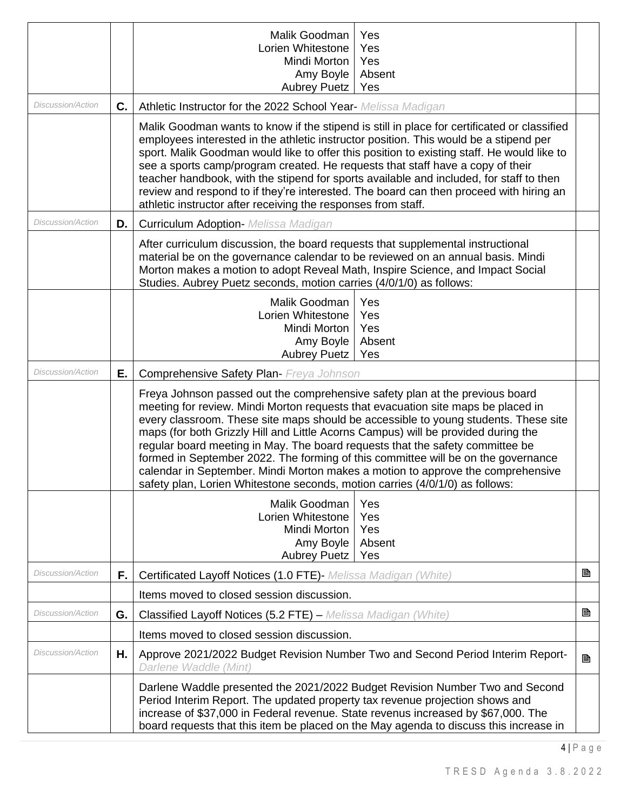|                          |    | Yes<br>Malik Goodman<br>Lorien Whitestone<br>Yes<br>Mindi Morton<br>Yes<br>Amy Boyle<br>Absent<br><b>Aubrey Puetz</b><br>Yes                                                                                                                                                                                                                                                                                                                                                                                                                                                                                                                                                          |  |  |  |  |  |
|--------------------------|----|---------------------------------------------------------------------------------------------------------------------------------------------------------------------------------------------------------------------------------------------------------------------------------------------------------------------------------------------------------------------------------------------------------------------------------------------------------------------------------------------------------------------------------------------------------------------------------------------------------------------------------------------------------------------------------------|--|--|--|--|--|
| <b>Discussion/Action</b> | C. | Athletic Instructor for the 2022 School Year- Melissa Madigan                                                                                                                                                                                                                                                                                                                                                                                                                                                                                                                                                                                                                         |  |  |  |  |  |
|                          |    | Malik Goodman wants to know if the stipend is still in place for certificated or classified<br>employees interested in the athletic instructor position. This would be a stipend per<br>sport. Malik Goodman would like to offer this position to existing staff. He would like to<br>see a sports camp/program created. He requests that staff have a copy of their<br>teacher handbook, with the stipend for sports available and included, for staff to then<br>review and respond to if they're interested. The board can then proceed with hiring an<br>athletic instructor after receiving the responses from staff.                                                            |  |  |  |  |  |
| <b>Discussion/Action</b> | D. | <b>Curriculum Adoption- Melissa Madigan</b>                                                                                                                                                                                                                                                                                                                                                                                                                                                                                                                                                                                                                                           |  |  |  |  |  |
|                          |    | After curriculum discussion, the board requests that supplemental instructional<br>material be on the governance calendar to be reviewed on an annual basis. Mindi<br>Morton makes a motion to adopt Reveal Math, Inspire Science, and Impact Social<br>Studies. Aubrey Puetz seconds, motion carries (4/0/1/0) as follows:                                                                                                                                                                                                                                                                                                                                                           |  |  |  |  |  |
|                          |    | Malik Goodman<br>Yes<br>Lorien Whitestone<br>Yes<br>Mindi Morton<br>Yes<br>Amy Boyle<br>Absent<br><b>Aubrey Puetz</b><br>Yes                                                                                                                                                                                                                                                                                                                                                                                                                                                                                                                                                          |  |  |  |  |  |
| <i>Discussion/Action</i> | Ε. | <b>Comprehensive Safety Plan-</b> Freya Johnson                                                                                                                                                                                                                                                                                                                                                                                                                                                                                                                                                                                                                                       |  |  |  |  |  |
|                          |    | Freya Johnson passed out the comprehensive safety plan at the previous board<br>meeting for review. Mindi Morton requests that evacuation site maps be placed in<br>every classroom. These site maps should be accessible to young students. These site<br>maps (for both Grizzly Hill and Little Acorns Campus) will be provided during the<br>regular board meeting in May. The board requests that the safety committee be<br>formed in September 2022. The forming of this committee will be on the governance<br>calendar in September. Mindi Morton makes a motion to approve the comprehensive<br>safety plan, Lorien Whitestone seconds, motion carries (4/0/1/0) as follows: |  |  |  |  |  |
|                          |    | Malik Goodman<br>Yes<br>Lorien Whitestone<br>Yes<br>Mindi Morton<br>Yes<br>Amy Boyle<br>Absent<br><b>Aubrey Puetz</b><br>Yes                                                                                                                                                                                                                                                                                                                                                                                                                                                                                                                                                          |  |  |  |  |  |
| Discussion/Action        | F. | B<br>Certificated Layoff Notices (1.0 FTE) - Melissa Madigan (White)                                                                                                                                                                                                                                                                                                                                                                                                                                                                                                                                                                                                                  |  |  |  |  |  |
|                          |    | Items moved to closed session discussion.                                                                                                                                                                                                                                                                                                                                                                                                                                                                                                                                                                                                                                             |  |  |  |  |  |
| <b>Discussion/Action</b> | G. | B<br>Classified Layoff Notices (5.2 FTE) - Melissa Madigan (White)                                                                                                                                                                                                                                                                                                                                                                                                                                                                                                                                                                                                                    |  |  |  |  |  |
|                          |    | Items moved to closed session discussion.                                                                                                                                                                                                                                                                                                                                                                                                                                                                                                                                                                                                                                             |  |  |  |  |  |
| <i>Discussion/Action</i> | Н. | Approve 2021/2022 Budget Revision Number Two and Second Period Interim Report-<br>B<br>Darlene Waddle (Mint)                                                                                                                                                                                                                                                                                                                                                                                                                                                                                                                                                                          |  |  |  |  |  |
|                          |    | Darlene Waddle presented the 2021/2022 Budget Revision Number Two and Second<br>Period Interim Report. The updated property tax revenue projection shows and<br>increase of \$37,000 in Federal revenue. State revenus increased by \$67,000. The<br>board requests that this item be placed on the May agenda to discuss this increase in                                                                                                                                                                                                                                                                                                                                            |  |  |  |  |  |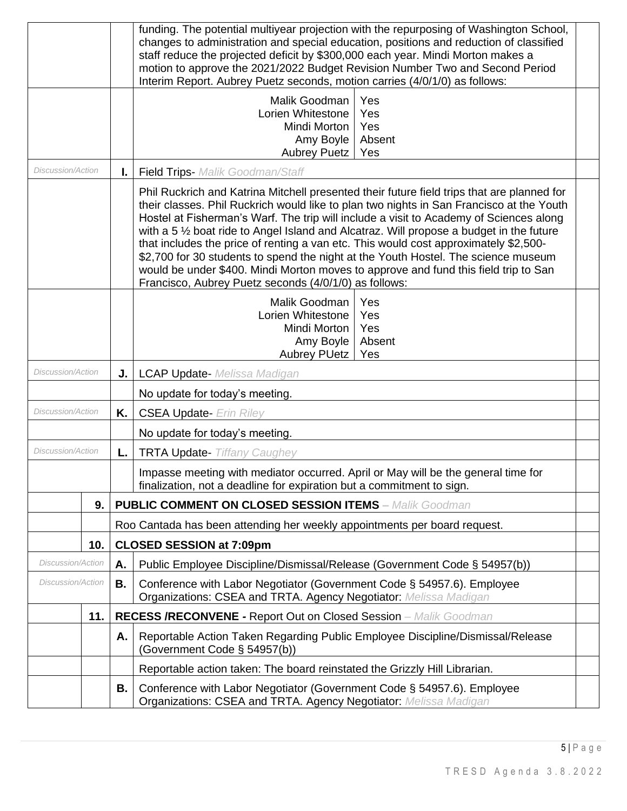|                                                                                                                                                                              |                                                                                                |    | funding. The potential multiyear projection with the repurposing of Washington School,<br>changes to administration and special education, positions and reduction of classified<br>staff reduce the projected deficit by \$300,000 each year. Mindi Morton makes a<br>motion to approve the 2021/2022 Budget Revision Number Two and Second Period<br>Interim Report. Aubrey Puetz seconds, motion carries (4/0/1/0) as follows:                                                                                                                                                                                                                                                                          |  |  |  |  |  |
|------------------------------------------------------------------------------------------------------------------------------------------------------------------------------|------------------------------------------------------------------------------------------------|----|------------------------------------------------------------------------------------------------------------------------------------------------------------------------------------------------------------------------------------------------------------------------------------------------------------------------------------------------------------------------------------------------------------------------------------------------------------------------------------------------------------------------------------------------------------------------------------------------------------------------------------------------------------------------------------------------------------|--|--|--|--|--|
|                                                                                                                                                                              | Yes<br>Malik Goodman<br>Lorien Whitestone<br>Yes<br>Mindi Morton<br>Yes<br>Amy Boyle<br>Absent |    | <b>Aubrey Puetz</b><br>Yes                                                                                                                                                                                                                                                                                                                                                                                                                                                                                                                                                                                                                                                                                 |  |  |  |  |  |
| Discussion/Action                                                                                                                                                            |                                                                                                | ı. | <b>Field Trips-</b> Malik Goodman/Staff                                                                                                                                                                                                                                                                                                                                                                                                                                                                                                                                                                                                                                                                    |  |  |  |  |  |
|                                                                                                                                                                              |                                                                                                |    | Phil Ruckrich and Katrina Mitchell presented their future field trips that are planned for<br>their classes. Phil Ruckrich would like to plan two nights in San Francisco at the Youth<br>Hostel at Fisherman's Warf. The trip will include a visit to Academy of Sciences along<br>with a 5 1/2 boat ride to Angel Island and Alcatraz. Will propose a budget in the future<br>that includes the price of renting a van etc. This would cost approximately \$2,500-<br>\$2,700 for 30 students to spend the night at the Youth Hostel. The science museum<br>would be under \$400. Mindi Morton moves to approve and fund this field trip to San<br>Francisco, Aubrey Puetz seconds (4/0/1/0) as follows: |  |  |  |  |  |
|                                                                                                                                                                              |                                                                                                |    | Malik Goodman<br>Yes<br>Lorien Whitestone<br>Yes<br>Mindi Morton<br>Yes<br>Absent<br>Amy Boyle<br><b>Aubrey PUetz</b><br>Yes                                                                                                                                                                                                                                                                                                                                                                                                                                                                                                                                                                               |  |  |  |  |  |
| <b>Discussion/Action</b>                                                                                                                                                     |                                                                                                | J. | <b>LCAP Update-</b> Melissa Madigan                                                                                                                                                                                                                                                                                                                                                                                                                                                                                                                                                                                                                                                                        |  |  |  |  |  |
|                                                                                                                                                                              |                                                                                                |    | No update for today's meeting.                                                                                                                                                                                                                                                                                                                                                                                                                                                                                                                                                                                                                                                                             |  |  |  |  |  |
| Discussion/Action                                                                                                                                                            |                                                                                                | Κ. | <b>CSEA Update- Erin Riley</b>                                                                                                                                                                                                                                                                                                                                                                                                                                                                                                                                                                                                                                                                             |  |  |  |  |  |
|                                                                                                                                                                              |                                                                                                |    | No update for today's meeting.                                                                                                                                                                                                                                                                                                                                                                                                                                                                                                                                                                                                                                                                             |  |  |  |  |  |
| Discussion/Action                                                                                                                                                            |                                                                                                | L. | <b>TRTA Update- Tiffany Caughey</b>                                                                                                                                                                                                                                                                                                                                                                                                                                                                                                                                                                                                                                                                        |  |  |  |  |  |
|                                                                                                                                                                              |                                                                                                |    | Impasse meeting with mediator occurred. April or May will be the general time for<br>finalization, not a deadline for expiration but a commitment to sign.                                                                                                                                                                                                                                                                                                                                                                                                                                                                                                                                                 |  |  |  |  |  |
|                                                                                                                                                                              | 9.                                                                                             |    | <b>PUBLIC COMMENT ON CLOSED SESSION ITEMS - Malik Goodman</b>                                                                                                                                                                                                                                                                                                                                                                                                                                                                                                                                                                                                                                              |  |  |  |  |  |
|                                                                                                                                                                              |                                                                                                |    | Roo Cantada has been attending her weekly appointments per board request.                                                                                                                                                                                                                                                                                                                                                                                                                                                                                                                                                                                                                                  |  |  |  |  |  |
|                                                                                                                                                                              | 10.                                                                                            |    | <b>CLOSED SESSION at 7:09pm</b>                                                                                                                                                                                                                                                                                                                                                                                                                                                                                                                                                                                                                                                                            |  |  |  |  |  |
| Discussion/Action                                                                                                                                                            |                                                                                                | А. | Public Employee Discipline/Dismissal/Release (Government Code § 54957(b))                                                                                                                                                                                                                                                                                                                                                                                                                                                                                                                                                                                                                                  |  |  |  |  |  |
| <b>Discussion/Action</b><br>Conference with Labor Negotiator (Government Code § 54957.6). Employee<br>В.<br>Organizations: CSEA and TRTA. Agency Negotiator: Melissa Madigan |                                                                                                |    |                                                                                                                                                                                                                                                                                                                                                                                                                                                                                                                                                                                                                                                                                                            |  |  |  |  |  |
|                                                                                                                                                                              | 11.                                                                                            |    | <b>RECESS /RECONVENE - Report Out on Closed Session</b> - Malik Goodman                                                                                                                                                                                                                                                                                                                                                                                                                                                                                                                                                                                                                                    |  |  |  |  |  |
|                                                                                                                                                                              |                                                                                                | Α. | Reportable Action Taken Regarding Public Employee Discipline/Dismissal/Release<br>(Government Code § 54957(b))                                                                                                                                                                                                                                                                                                                                                                                                                                                                                                                                                                                             |  |  |  |  |  |
|                                                                                                                                                                              |                                                                                                |    | Reportable action taken: The board reinstated the Grizzly Hill Librarian.                                                                                                                                                                                                                                                                                                                                                                                                                                                                                                                                                                                                                                  |  |  |  |  |  |
|                                                                                                                                                                              |                                                                                                | В. | Conference with Labor Negotiator (Government Code § 54957.6). Employee<br>Organizations: CSEA and TRTA. Agency Negotiator: Melissa Madigan                                                                                                                                                                                                                                                                                                                                                                                                                                                                                                                                                                 |  |  |  |  |  |